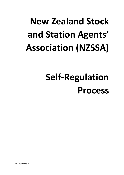# **New Zealand Stock and Station Agents' Association (NZSSA)**

## **Self-Regulation Process**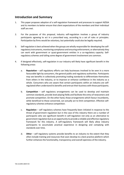## **Introduction and Summary**

- 1. This paper proposes adoption of a self-regulation framework and processes to support NZSSA and its members to better ensure that client expectations of the members and their individual staff are met.
- 2. For the purposes of this proposal, industry self-regulation involves a group of industry participants agreeing to act in a prescribed way, according to a set of rules or principles. Participation by firms would be voluntary, but potentially could also be legally required.
- 3. Self-regulation is best achieved when the groups are wholly responsible for developing the selfregulatory instruments, monitoring compliance and ensuring enforcement, or alternatively they can work with government or quasi-government entities in a co-regulatory capacity. Selfregulatory schemes and tailing some degree of government involvement are common.
- 4. If designed effectively, self-regulation in our industry will likely have significant benefit in the following areas:
	- a. **Reputation**  self regulatory efforts can help businesses involved to be seen in a more favourable light by consumers, the general public and regulatory authorities. Participants may see benefits in collectively promoting trading standards to differentiate themselves from others in the industry, or to improve or enhance confidence in the industry as a whole. Consumers who are aware that certain participants within an industry are selfregulated often understand its benefits and entrust their business with those participants.
	- b. **Competition**  self regulatory arrangements can be used to develop and maintain common standards, provide level playing fields and facilitate the entry of newcomers and promote competition. On the other hand, those arrangements which favour incumbents, while beneficial to those concerned, can actually act to limit competition. Effective selfregulatory schemes enhance competition.
	- c. **Regulation** self regulatory schemes have frequently been initiated in response to the threat of government regulation but in the case of this industry there are a number of participants who see significant benefit in self-regulation not only as an alternative to government regulation but as an opportunity to provide a reliable and effective regulatory framework for this industry. A self-regulatory framework will likely allow industry participants to accumulate practical experience in designing and complying with standards over time.
	- d. **Other**  self regulatory systems provide benefits to an industry to the extent that they often include training and resources that soon develop to a best practice platform which further enhances the functionality, transparency and overall openness of the industry.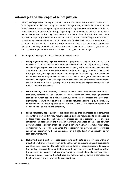## **Advantages and challenges of self-regulation**

- 5. Industry self-regulation can help to prevent harm to consumers and the environment and to foster improved market functioning in a number of ways. It can, for example, provide support for businesses and overseeing the implementation of all legal requirements within an industry. In our view, it can, and should, also go beyond legal requirements to address areas where market failures exist and no regulatory actions have been taken. The lack of a government response or regulatory environment across our industry means that self-regulation is likely to provide an enhanced environment for all participants. The livestock industry is no different to a number of other vendor channel focused industries in that in the main most participants operate at a very high ethical level, but to ensure that that standard is achieved right across the industry, a self-regulation framework is likely to be of significant advantage.
- 6. Advantages of self-regulation in the livestock industry include:
	- a. **Going beyond existing legal requirements** proposed self-regulation in the livestock industry in New Zealand will be able to go beyond what is legally required, thereby contributing to improved consumer outcomes. Globally, self-regulation has been used in a number of instances to establish quality standards that apply to all participants and often go well beyond legal requirements. It is anticipated that a self-regulatory framework in the livestock industry of New Zealand will go above and beyond consumer and fair trading law obligations and set a high standard showing consumers clearly that members can be trusted and that all participants are operating to the highest commercial and ethical standards achievable.
	- b. **More flexibility** often industry responses to new issues as they present through selfregulatory schemes can be adjusted far more swiftly and easily than government regulations, which can be a time-consuming, cumbersome process and may entail significant procedural hurdles. In this respect self-regulation seems to play a particularly important role in ensuring that as an industry there is the ability to respond to developments in a nimble and timely way.
	- c. **Filling regulatory gaps quickly** the rapid change that businesses and consumers encounter in any market may require existing laws and regulations to be changed or updated frequently. The self-regulatory process can help establish more effective structures and openness of the market in the future well ahead of the speed at which government led regulation or legislation would achieve. A very successful self-regulatory environment will most likely enhance the opportunity for government to formulate supportive legislation with the confidence of a highly functioning industry driven regulatory framework.
	- d. **Higher technical expertise** Those parties who participate on a daily basis within an industry have higher technical expertise than other parties. Accordingly, such participants are often better positioned to tailor rules and guidance for specific situations tailored to the needs of participants within that industry. In our view, this is particularly so within the livestock industry, wherein there are a number of issues that are of a technical nature to be considered, including livestock care and welfare, agency and sale contracts and health and safety and environmental considerations.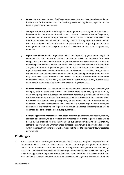- e. **Lower cost**  many examples of self-regulation have shown to have been less costly and burdensome for businesses than comparable government regulation, regardless of the level of government involvement.
- f. **Stronger values and ethics -** although it can be argued that self-regulation is unlikely to be successful in the absence of a well rooted culture of business ethics, self-regulatory initiatives tend to nurture stronger business values and ethics. It would be expected over time that the New Zealand livestock industry under a self-regulatory framework would see an acceptance and commitment to an ethical level of all participants that was nonnegotiable. The overall experience for all consumers at that point is significantly enhanced.
- g. **Higher compliance levels** regulations which are imposed by government might not command the full support of affected businesses which can translate into weak compliance. It is our view that the NAIT regime implemented in New Zealand has been an industry specific example where weak compliance has been an unexpected outcome from a regulatory structure imposed by government. We submit that compliance with selfregulatory mechanisms on the other hand can, and in some cases will be, stronger due to the benefit of buy in by industry members who may have helped design them and who may thus have a vested interest in their success. The degree of commitment engendered by industry control will also likely be beneficial for consumers, as it may in some cases encourage businesses to raise the bar and reach for high standards.
- h. **Enhance competition** self-regulation will help to enhance competition, to the extent, for example, that it establishes norms that create more level playing fields and, by encouraging responsible business and participant behaviour, provides added incentives for the consumers to purchase from businesses which participate in the schemes. Small businesses can benefit from participation, to the extent that their reputations are enhanced. The livestock industry in New Zealand has a number of participants of varying sizes and it is likely that if a self-regulatory framework is adopted that competition will be enhanced due to the creation of a level playing field.
- i. **Conserving government resources and costs** from the government perspective, industry self-regulation is likely to be more cost-effective since most of the regulatory costs will be borne by the livestock industry itself and the businesses participating in that industry rather than government. Enforcement and inspection costs would be saved and absorbed within the industry in a manner which is most likely to lead to significantly lower costs for government.

## **Challenges**

7. The success of industry self-regulation depends critically on the strength of the provisions and the extent to which businesses adhere to the schemes. For example, the global financial crisis of2007 to 2008 demonstrated that industry self-regulation arrangements are not always successful. That crisis indicated clearly that self-regulation and initiatives which rely entirely on a voluntary approach to improve business behaviour have limitations. We believe that for the New Zealand's livestock industry to have an effective self-regulatory framework then the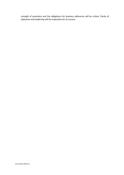strength of provisions and the obligations for business adherence will be critical. Clarity of objectives and leadership will be imperative for its success.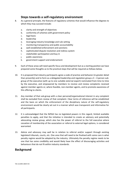## **Steps towards a self-regulatory environment**

- 8. As a general principle, the features of regulatory schemes that would influence the degrees to which they may succeed include:
	- a. clarity and strength of objectives
	- b. conformity of schemes with government policy
	- c. legal basis
	- d. leadership
	- e. leveraging industry knowledge and rule setting
	- f. monitoring transparency and public accountability
	- g. well-established enforcement and sanctions
	- h. sophisticated dispute resolution and redress system
	- i. stakeholder participation and buy in
	- j. public awareness
	- k. government support and endorsement
- 9. Each of these areas will need specific focus and development but as a starting position we have prepared some thoughts as to the practical steps that will be required as follows below.
- 10. It is proposed that industry participants agree a code of practice and behavior (in greater detail than presently) and to form as a delegated leadership and regulation group a  $3 - 4$  person subgroup of the executive (with up to one suitable external expert) nominated from time to time by the executive, and empowered by members to receive and review complaints received against member agents or, where feasible, non-member agents, and to promote awareness of this offering to clients.
- 11. Any member of that sub-group with a clear personal/organisational interest in any complaint shall be excluded from review of that complaint. Clear terms of reference will be established and the basis on which the enforcement of the disciplinary nature of the self-regulatory environment would be clearly set out in a manner which was transparent and informative for all participants.
- 12. It is acknowledged that the NZSSA has no legislated powers in this regard, limited available penalties to apply, and that the initiative is intended to create an advisory and potentially advocating review group, which also has the power of referral to the full executive where cessation of membership of the association or referral to external legal options, is considered warranted.
- 13. Advice and advocacy may well be in relation to referral and/or support through existing legislated tribunals, courts, etc. One area that will need to be finalised with some care is what penalty regime would be adopted by the industry. Ultimately the penalty regime needs to be one that has some credibility and would likely have the effect of discouraging activities and behaviours that do not fit within industry standards.

## **Background**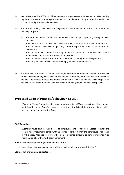- 14. We believe that the NZSSA would be an effective organisation to implement a self-governing regulatory framework for its agent members to comply with. Doing so would fit within the NZSSA's stated purposes and objectives.
- 15. The present 'Rules, Objectives and Eligibility for Membership' of the NZSSA include the following purposes:
	- a. Promote the interests of full time commercial livestock agents operating throughout New Zealand
	- b. Conduct itself in accordance with the law including such legislation as the Commerce Act
	- c. Provide members with a set of operating standards expected of them as a member of the association
	- d. Provide the public confidence that they can expect a minimum standard of performance in relation to representation and standard of service
	- e. Provide members with information to assist them to comply with key legislation
	- f. Provide guidelines to assist members comply with environmental issues.
- 16. Set out below is a proposed Code of Practice/Behaviour and Complaints Regime. It is subject to review from industry participants and any feedback that any interested parties may wish to provide. The purpose of these documents is to give an insight as to how the NZSSA proposes to self-regulate its agent members, and non-agent members (should circumstances permit).

### **Proposed Code of Practice/Behaviour Definitions**

**-** 'Agent' or 'Agency' refers here to the agent principal (i.e. NZSSA member), such that a breach of this code by the Agent's employed or contracted individual livestock agents or staff is deemed to be a breach by the Agent

#### **Staff Compliance**

**-** Agencies must ensure that all of its employees and contracted livestock agents are contractually required to comply with a policy or code that mirrors the behaviours established by this code. Agencies to provide that non-compliance amounts to serious misconduct or termination of any livestock agent agreement

#### **Take reasonable steps to safeguard health and safety**

**-** Agencies must ensure compliance with the Health and Safety at Work Act 2015

#### **Standard of professional competence**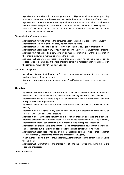- Agencies must exercise skill, care, competence and diligence at all times when providing services to clients, and must be aware of the standards required by this Code of Conduct –
- Agencies must provide adequate training of all new entrants into the industry and have a complaint resolution process that is set up in a formal manner to deal with any complaints
- Details of any complaints and the resolution must be retained in a manner which can be accessed and audited at any time

#### **Standards of professional conduct**

- Agencies must strive to enhance the consumer experience and confidence in the industry
- Agencies must comply with the fiduciary obligations to its client
- Agencies must act in good faith and deal fairly with all parties engaged in a transaction
- Agencies must not engage in any conduct likely to bring the livestock industry into disrepute
- Agencies must not mislead a client, nor provide false information, nor withhold information that should by law or in fairness be provided to a client
- Agencies shall not provide services to more than one client in relation to a transaction or related series of transactions if they are unable to comply, in respect of each such client, with the standards required by this Code of Conduct

#### **Duties and Obligations**

- Agencies must ensure that this Code of Practice is communicated appropriately to clients, and made available to them on request
- Agencies must ensure adequate supervision of staff offering livestock agency services to clients

#### **Client Care**

- Agencies must operate in the best interests of the client and act in accordance with the client's instructions unless to do so would be contrary to the law or good professional conduct
- Agencies must ensure that there is a process of disclosure of any interested parties and that transparency becomes paramount
- Agencies will look to establish a culture of comfortable compliance by all participants in the industry
- Agencies must not engage in any conduct that would put a prospective client, client, or customer under undue or unfair pressure
- Agencies must communicate regularly and in a timely manner, and keep the client well informed of matters relevant to the client's interest (unless instructed otherwise by the client)
- Agencies must not mislead potential buyers or sellers as to client price expectations
- Agencies should ensure that clients signing complex agreements are advised that they should, and are provided sufficient time to, seek independent legal advice where relevant
- Agencies must not impose conditions on a client in relation to their service to that client that are not reasonably necessary to protect the interests of the Agency
- When authorised by a client to incur expenses, Agencies must seek to obtain the best value for the client
- Agencies must ensure that fees and charges in relation to their service provided to a client are clear and understood

#### **Conflicts of interest**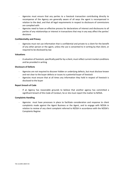- Agencies must ensure that any parties to a livestock transaction contributing directly to recompense of the Agency are generally aware of all ways the agent is recompensed in relation to the deal, and that all legal requirements in respect to disclosure of commissions are complied with
- Agencies need to have an effective process for declarations of interest and disclosures to all parties of any relationships or interest in transactions that may in any way affect the parties' decisions

#### **Confidentiality and Privacy**

Agencies must not use information that is confidential and private to a client for the benefit of any other person or the agent, unless the use is consented to in writing by that client, or required to be disclosed by law

#### **Valuations**

A valuation of livestock, specifically paid for by a client, must reflect current market conditions and be provided in writing

#### **Disclosure of Defects**

- Agencies are not required to discover hidden or underlying defects, but must disclose known and not clear to the buyer defects or issues to a potential buyer of livestock
- Agencies must ensure that at all times any information they hold in respect of livestock is disclosed to the buyer

#### **Report breach of Code**

- If an Agency has reasonable grounds to believe that another agency has committed a significant breach of this Code of Conduct, he or she must report the matter to NZSSA.

#### **Complaints Handling**

Agencies must have processes in place to facilitate consideration and response to client complaints made against the Agent Business or the Agent, and to engage with NZSSA in relation to review of any client complaint referred to NZSSA in accordance with the NZSSA's Complaints Regime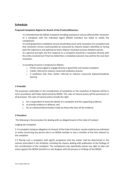## **Schedule**

-

#### **Proposed Complaints Regime for Breach of the Practice/Behaviour**

- It is intended that the NZSSA complaints handling mechanism only be offered after resolution of a complaint with the individual Agent (NZSSA member) has failed to satisfy the complainant.
- It is anticipated that a mediation service would likely assist early resolution of a complaint and that resolution service could possibly be resourced by industry leaders identified as having both the experience and aptitude to lead a dispute resolution process between parties.
- As a general principle, the first response to a complaint should be a resolution directly with the entity involved but if that has failed then a mediated outcome may well be the next best resolution.
- A cascading structure is proposed as follows:
	- o Parties encouraged to engage directly in good faith and resolve complaint
	- o matter referred to industry resourced mediation process
	- $\circ$  if mediation fails then matter referred to industry resourced dispute/standards hearing

#### **1 Preamble**

The processes undertaken in the consideration of complaints or the resolution of disputes will be in strict accordance with Rules determined by NZSSA. The rules of natural justice will be paramount in all processes. The rules of natural justice include the right:

- a. for a respondent to know the details of a complaint and the supporting evidence;
- b. to provide evidence in defense; and
- c. for an unbiased determination made by those who hear all the evidence.

#### **2 Procedure**

The following is the procedure for dealing with an alleged breach of the Code of Conduct:

#### *Lodging the Complaint*

2.1 A complaint, being an allegation of a breach of the Code of Conduct, may be made by any individual or entity concerning any person who is an NZSSA member or was a member at the time relevant to the complaint.

2.2 Placing such a complaint shall signify acceptance that the matter shall be determined in the manner prescribed in this Schedule, including the clauses dealing with publication of the findings of this consideration of the complaint. The complainant also specifically waives any right to take civil action against the NZSSA should he or she disagree with the process or findings of the NZSSA.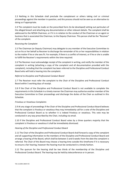2.3 Nothing in this Schedule shall preclude the complainant or others taking civil or criminal proceedings against the member in question, and this process should not be seen as an alternative to doing so if appropriate.

2.4 The complaint must be made on the prescribed form *(to be developed)* setting out particulars of the alleged breach and attaching any documentation or other relevant details. The complaint shall be addressed to the NZSSA Chairman, or if it is in relation to the conduct of the Chairman or an agent or business that is associated the Chairman, to the Deputy Chairman. This person shall be the "Receiver" of the complaint.

#### *Receiving the Complaint*

2.5 The Chairman (or Deputy Chairman) may delegate to any member of the Executive Committee to act on his or her behalf as Receiver to discharge the remainder of his or her responsibilities in relation to the matter if he or she sees fit. For example, if there is a conflict of interest, or if he or she is unable to fulfill the Receiver's requirements within the time required.

2.6 The Receiver must acknowledge receipt of the complaint in writing, and notify the member of the complaint in writing (attaching a copy of the complaint and all documentation provided with the complaint), including that the complaint has been referred to the Discipline and Professional Conduct Board who will hold a hearing into the complaint.

#### *Referral to Discipline and Professional Conduct Board*

2.7 The Receiver must refer the complaint to the Chair of the Discipline and Professional Conduct Board within 5 working days of receipt.

2.8 If the Chair of the Discipline and Professional Conduct Board is not available to complete the requirements in this Schedule in a timely manner the Chairman may authorise another member of the Executive Committee to Chair proceedings and discharge the duties of the Chair as outlined in this Schedule.

#### *Frivolous or Vexatious Complaints*

2.9 At any stage of proceedings if the Chair of the Discipline and Professional Conduct Board believes that the complaint is frivolous or vexatious they may immediately call for a vote of the Discipline and Professional Conduct Board as to whether it is indeed frivolous or vexatious. This vote may be conducted in any way prescribed by the Chair, including via email.

2.10 If the Discipline and Professional Conduct Board votes by a three quarters majority that the complaint is frivolous or vexatious it shall be immediately dismissed.

#### *Hearing of the Discipline and Professional Conduct Board*

2.11 The Chair of the Discipline and Professional Conduct Board shall forward a copy of the complaint and all supporting information to the members of the Discipline and Professional Conduct Board and arrange a hearing of the Board, which shall be between 3 and 6 weeks from the date the complaint is referred. The Chair of this Board may choose a hearing time outside this timeframe if it is necessary to ensure a fair hearing, however the hearing must be conducted in a timely fashion.

2.12 The quorum for the hearing shall be two thirds of the membership of the Discipline and Professional Conduct Board. The hearing may be held by teleconference or in person.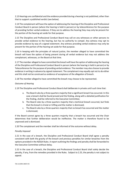2.13 Hearings are confidential and the evidence provided during a hearing is not published, other than that to support a published verdict (see below).

2.14 The complainant will have the option of addressing the hearing of the Discipline and Professional Conduct Board in person (where the hearing is held in person) or by teleconference for the purpose of providing further verbal evidence. If they are to address the hearing they may only be present for the portion of the hearing set aside for that purpose.

2.15 The Discipline and Professional Conduct Board may call on any witnesses or other persons to provide verbal evidence to the hearing, but has no authority to compel. Any witness may opt to provide evidence by way of a signed statement. Any witness providing verbal evidence may only be present for the portion of the hearing set aside for that purpose.

2.16 In keeping with the principles of natural justice, the member alleged to have committed the breach will have the option of being present during all verbal evidence but may not address the complainant, witnesses, or the Board at that time.

2.17 The member alleged to have committed the breach will have the option of addressing the hearing of the Discipline and Professional Conduct Board in person (where the hearing is held in person) or by Teleconference for the purpose of providing verbal evidence. The member may also choose to provide evidence in writing in advance by signed statement. The complainant may equally opt not to do either and this shall not be construed as evidence of acceptance of the allegation of breach.

2.18 The member alleged to have committed the breach may choose to be represented.

#### *Outcome of Hearing*

2.19 The Discipline and Professional Conduct Board shall deliberate in private until such time that:

- a. The Board rules by a three quarters majority that a significant breach has occurred. In this case a breach shall be found proved and the finding, along with a detailed justification for the finding, shall be referred to the Executive Committee;
- b. The Board rules by a three quarters majority that a technical breach occurred, but finds that the breach is trivial or trifling and the matter is dismissed;
- c. The Board rules by a three quarters majority that no breach has occurred and the matter is dismissed;

If the Board cannot agree by a three quarters majority that a breach has occurred and the Chair determines that further deliberation would be ineffective. The matter is therefore found to be unproved and is dismissed.

2.20 The complainant and the member shall be informed of the outcome without delay.

#### *Penalty Imposed*

2.21 In the case of a breach, the Discipline and Professional Conduct Board shall agree a penalty consistent with both the gravity of the breach and previous penalties for similar breaches from the options provided in the NZSSA Rules. A report outlining the findings and penalty shall be forwarded to the Executive Committee without delay.

2.22 In the case of a breach, the Discipline and Professional Conduct Board shall solely decide the penalty, if any, from the remedies provided in the Rules. Subject to 2.25, the penalty is not subject to appeal.